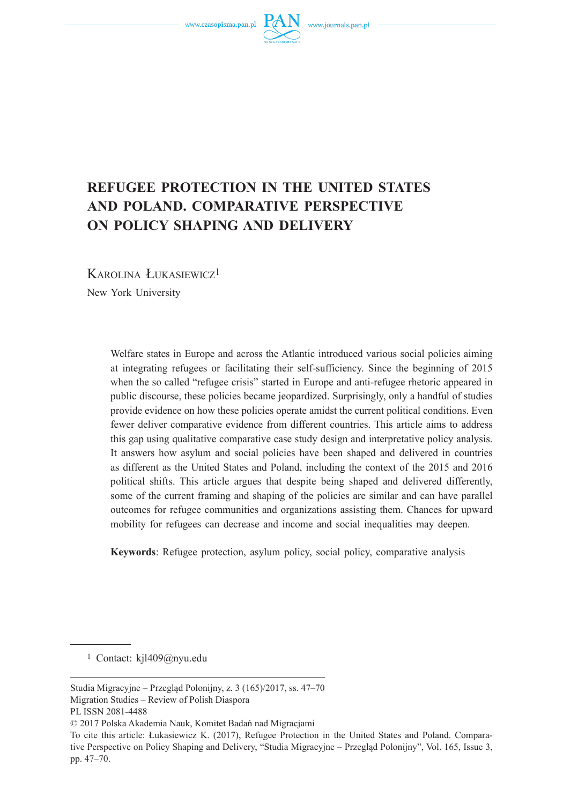www.czasopisma.pan.pl



# **REFUGEE PROTECTION IN THE UNITED STATES AND POLAND. COMPARATIVE PERSPECTIVE ON POLICY SHAPING AND DELIVERY**

KAROLINA ŁUKASIEWICZ<sup>1</sup> New York University

> Welfare states in Europe and across the Atlantic introduced various social policies aiming at integrating refugees or facilitating their self-sufficiency. Since the beginning of 2015 when the so called "refugee crisis" started in Europe and anti-refugee rhetoric appeared in public discourse, these policies became jeopardized. Surprisingly, only a handful of studies provide evidence on how these policies operate amidst the current political conditions. Even fewer deliver comparative evidence from different countries. This article aims to address this gap using qualitative comparative case study design and interpretative policy analysis. It answers how asylum and social policies have been shaped and delivered in countries as different as the United States and Poland, including the context of the 2015 and 2016 political shifts. This article argues that despite being shaped and delivered differently, some of the current framing and shaping of the policies are similar and can have parallel outcomes for refugee communities and organizations assisting them. Chances for upward mobility for refugees can decrease and income and social inequalities may deepen.

**Keywords**: Refugee protection, asylum policy, social policy, comparative analysis

1 Contact: kjl409@nyu.edu

Studia Migracyjne – Przegląd Polonijny, z. 3 (165)/2017, ss. 47–70 Migration Studies – Review of Polish Diaspora

PL ISSN 2081-4488

<sup>© 2017</sup> Polska Akademia Nauk, Komitet Badań nad Migracjami

To cite this article: Łukasiewicz K. (2017), Refugee Protection in the United States and Poland. Comparative Perspective on Policy Shaping and Delivery, "Studia Migracyjne – Przegląd Polonijny", Vol. 165, Issue 3, pp. 47–70.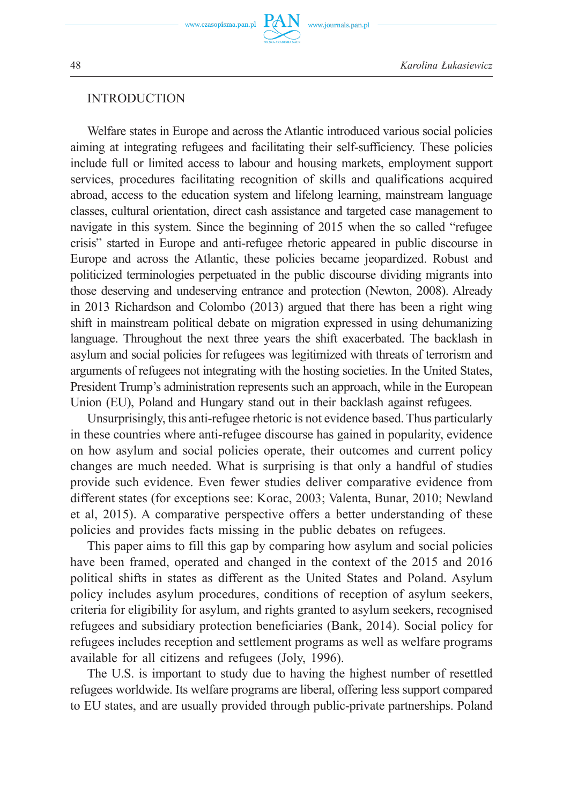## INTRODUCTION

Welfare states in Europe and across the Atlantic introduced various social policies aiming at integrating refugees and facilitating their self-sufficiency. These policies include full or limited access to labour and housing markets, employment support services, procedures facilitating recognition of skills and qualifications acquired abroad, access to the education system and lifelong learning, mainstream language classes, cultural orientation, direct cash assistance and targeted case management to navigate in this system. Since the beginning of 2015 when the so called "refugee crisis" started in Europe and anti-refugee rhetoric appeared in public discourse in Europe and across the Atlantic, these policies became jeopardized. Robust and politicized terminologies perpetuated in the public discourse dividing migrants into those deserving and undeserving entrance and protection (Newton, 2008). Already in 2013 Richardson and Colombo (2013) argued that there has been a right wing shift in mainstream political debate on migration expressed in using dehumanizing language. Throughout the next three years the shift exacerbated. The backlash in asylum and social policies for refugees was legitimized with threats of terrorism and arguments of refugees not integrating with the hosting societies. In the United States, President Trump's administration represents such an approach, while in the European Union (EU), Poland and Hungary stand out in their backlash against refugees.

Unsurprisingly, this anti-refugee rhetoric is not evidence based. Thus particularly in these countries where anti-refugee discourse has gained in popularity, evidence on how asylum and social policies operate, their outcomes and current policy changes are much needed. What is surprising is that only a handful of studies provide such evidence. Even fewer studies deliver comparative evidence from different states (for exceptions see: Korac, 2003; Valenta, Bunar, 2010; Newland et al, 2015). A comparative perspective offers a better understanding of these policies and provides facts missing in the public debates on refugees.

This paper aims to fill this gap by comparing how asylum and social policies have been framed, operated and changed in the context of the 2015 and 2016 political shifts in states as different as the United States and Poland. Asylum policy includes asylum procedures, conditions of reception of asylum seekers, criteria for eligibility for asylum, and rights granted to asylum seekers, recognised refugees and subsidiary protection beneficiaries (Bank, 2014). Social policy for refugees includes reception and settlement programs as well as welfare programs available for all citizens and refugees (Joly, 1996).

The U.S. is important to study due to having the highest number of resettled refugees worldwide. Its welfare programs are liberal, offering less support compared to EU states, and are usually provided through public-private partnerships. Poland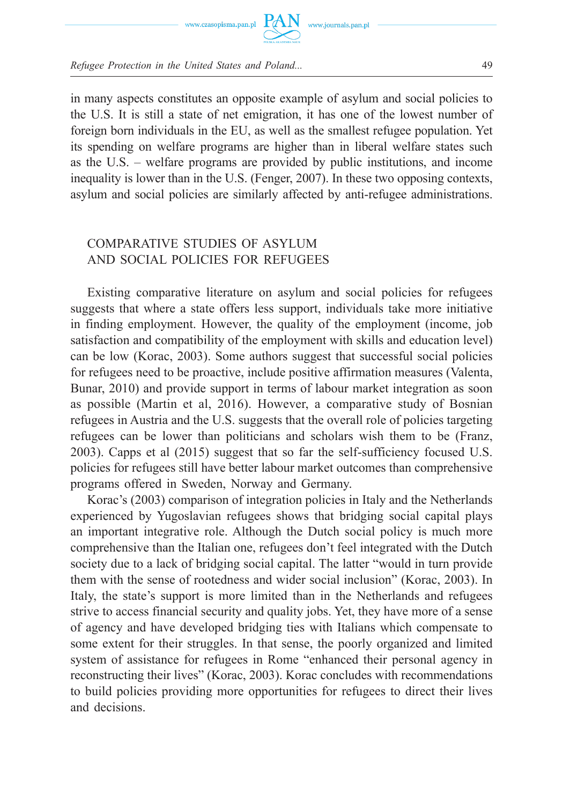



in many aspects constitutes an opposite example of asylum and social policies to the U.S. It is still a state of net emigration, it has one of the lowest number of foreign born individuals in the EU, as well as the smallest refugee population. Yet its spending on welfare programs are higher than in liberal welfare states such as the U.S. – welfare programs are provided by public institutions, and income inequality is lower than in the U.S. (Fenger, 2007). In these two opposing contexts, asylum and social policies are similarly affected by anti-refugee administrations.

# COMPARATIVE STUDIES OF ASYLUM AND SOCIAL POLICIES FOR REFUGEES

Existing comparative literature on asylum and social policies for refugees suggests that where a state offers less support, individuals take more initiative in finding employment. However, the quality of the employment (income, job satisfaction and compatibility of the employment with skills and education level) can be low (Korac, 2003). Some authors suggest that successful social policies for refugees need to be proactive, include positive affirmation measures (Valenta, Bunar, 2010) and provide support in terms of labour market integration as soon as possible (Martin et al, 2016). However, a comparative study of Bosnian refugees in Austria and the U.S. suggests that the overall role of policies targeting refugees can be lower than politicians and scholars wish them to be (Franz, 2003). Capps et al (2015) suggest that so far the self-sufficiency focused U.S. policies for refugees still have better labour market outcomes than comprehensive programs offered in Sweden, Norway and Germany.

Korac's (2003) comparison of integration policies in Italy and the Netherlands experienced by Yugoslavian refugees shows that bridging social capital plays an important integrative role. Although the Dutch social policy is much more comprehensive than the Italian one, refugees don't feel integrated with the Dutch society due to a lack of bridging social capital. The latter "would in turn provide them with the sense of rootedness and wider social inclusion" (Korac, 2003). In Italy, the state's support is more limited than in the Netherlands and refugees strive to access financial security and quality jobs. Yet, they have more of a sense of agency and have developed bridging ties with Italians which compensate to some extent for their struggles. In that sense, the poorly organized and limited system of assistance for refugees in Rome "enhanced their personal agency in reconstructing their lives" (Korac, 2003). Korac concludes with recommendations to build policies providing more opportunities for refugees to direct their lives and decisions.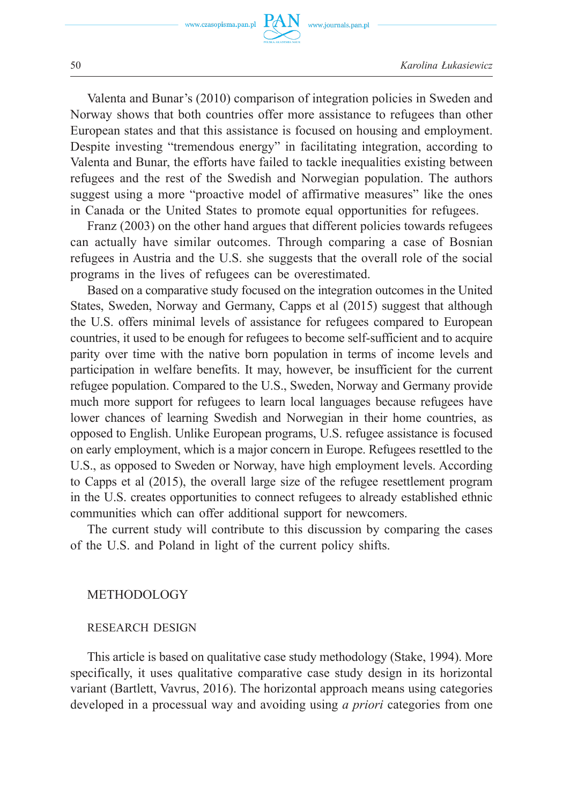

Valenta and Bunar's (2010) comparison of integration policies in Sweden and Norway shows that both countries offer more assistance to refugees than other European states and that this assistance is focused on housing and employment. Despite investing "tremendous energy" in facilitating integration, according to Valenta and Bunar, the efforts have failed to tackle inequalities existing between refugees and the rest of the Swedish and Norwegian population. The authors suggest using a more "proactive model of affirmative measures" like the ones in Canada or the United States to promote equal opportunities for refugees.

Franz (2003) on the other hand argues that different policies towards refugees can actually have similar outcomes. Through comparing a case of Bosnian refugees in Austria and the U.S. she suggests that the overall role of the social programs in the lives of refugees can be overestimated.

Based on a comparative study focused on the integration outcomes in the United States, Sweden, Norway and Germany, Capps et al (2015) suggest that although the U.S. offers minimal levels of assistance for refugees compared to European countries, it used to be enough for refugees to become self-sufficient and to acquire parity over time with the native born population in terms of income levels and participation in welfare benefits. It may, however, be insufficient for the current refugee population. Compared to the U.S., Sweden, Norway and Germany provide much more support for refugees to learn local languages because refugees have lower chances of learning Swedish and Norwegian in their home countries, as opposed to English. Unlike European programs, U.S. refugee assistance is focused on early employment, which is a major concern in Europe. Refugees resettled to the U.S., as opposed to Sweden or Norway, have high employment levels. According to Capps et al (2015), the overall large size of the refugee resettlement program in the U.S. creates opportunities to connect refugees to already established ethnic communities which can offer additional support for newcomers.

The current study will contribute to this discussion by comparing the cases of the U.S. and Poland in light of the current policy shifts.

## **METHODOLOGY**

#### RESEARCH DESIGN

This article is based on qualitative case study methodology (Stake, 1994). More specifically, it uses qualitative comparative case study design in its horizontal variant (Bartlett, Vavrus, 2016). The horizontal approach means using categories developed in a processual way and avoiding using *a priori* categories from one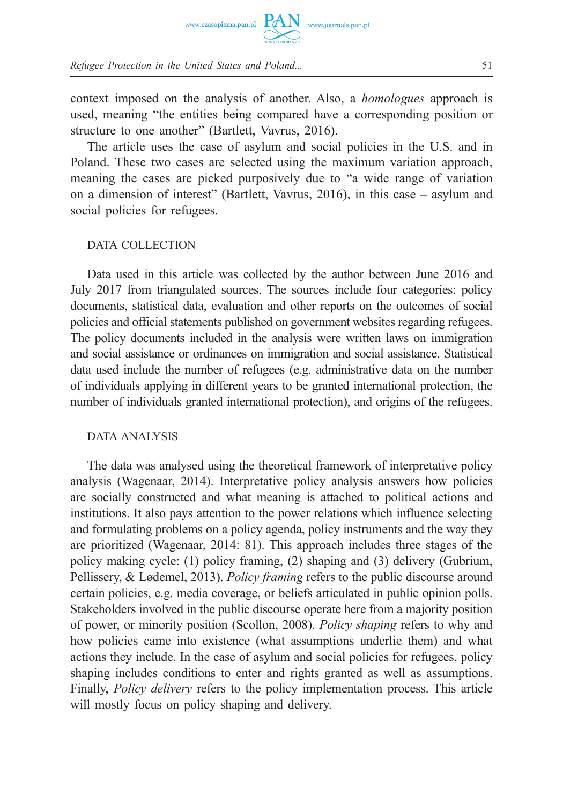

context imposed on the analysis of another. Also, a *homologues* approach is used, meaning "the entities being compared have a corresponding position or structure to one another" (Bartlett, Vavrus, 2016).

The article uses the case of asylum and social policies in the U.S. and in Poland. These two cases are selected using the maximum variation approach, meaning the cases are picked purposively due to "a wide range of variation on a dimension of interest" (Bartlett, Vavrus, 2016), in this case – asylum and social policies for refugees.

## DATA COLLECTION

Data used in this article was collected by the author between June 2016 and July 2017 from triangulated sources. The sources include four categories: policy documents, statistical data, evaluation and other reports on the outcomes of social policies and official statements published on government websites regarding refugees. The policy documents included in the analysis were written laws on immigration and social assistance or ordinances on immigration and social assistance. Statistical data used include the number of refugees (e.g. administrative data on the number of individuals applying in different years to be granted international protection, the number of individuals granted international protection), and origins of the refugees.

## DATA ANALYSIS

The data was analysed using the theoretical framework of interpretative policy analysis (Wagenaar, 2014). Interpretative policy analysis answers how policies are socially constructed and what meaning is attached to political actions and institutions. It also pays attention to the power relations which influence selecting and formulating problems on a policy agenda, policy instruments and the way they are prioritized (Wagenaar, 2014: 81). This approach includes three stages of the policy making cycle: (1) policy framing, (2) shaping and (3) delivery (Gubrium, Pellissery, & Lødemel, 2013). *Policy framing* refers to the public discourse around certain policies, e.g. media coverage, or beliefs articulated in public opinion polls. Stakeholders involved in the public discourse operate here from a majority position of power, or minority position (Scollon, 2008). *Policy shaping* refers to why and how policies came into existence (what assumptions underlie them) and what actions they include. In the case of asylum and social policies for refugees, policy shaping includes conditions to enter and rights granted as well as assumptions. Finally, *Policy delivery* refers to the policy implementation process. This article will mostly focus on policy shaping and delivery.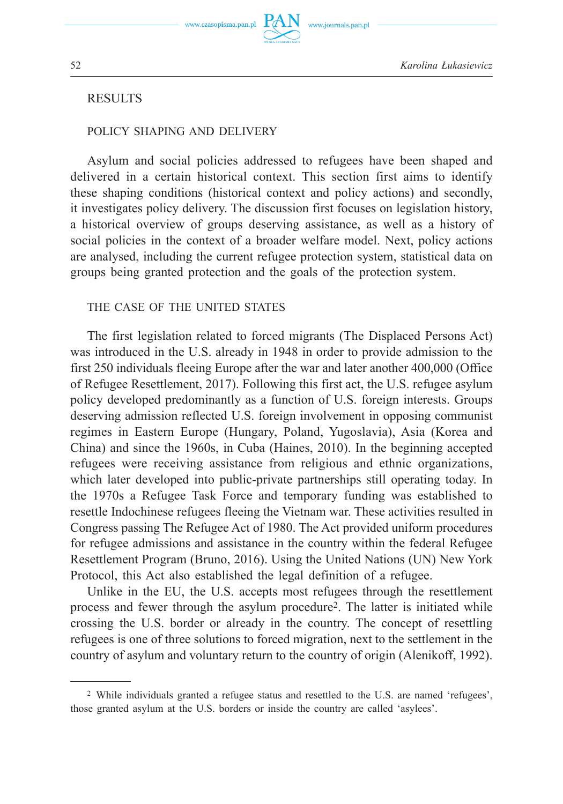www.journals.pan.pl

## **RESULTS**

#### POLICY SHAPING AND DELIVERY

Asylum and social policies addressed to refugees have been shaped and delivered in a certain historical context. This section first aims to identify these shaping conditions (historical context and policy actions) and secondly, it investigates policy delivery. The discussion first focuses on legislation history, a historical overview of groups deserving assistance, as well as a history of social policies in the context of a broader welfare model. Next, policy actions are analysed, including the current refugee protection system, statistical data on groups being granted protection and the goals of the protection system.

#### THE CASE OF THE UNITED STATES

The first legislation related to forced migrants (The Displaced Persons Act) was introduced in the U.S. already in 1948 in order to provide admission to the first 250 individuals fleeing Europe after the war and later another 400,000 (Office of Refugee Resettlement, 2017). Following this first act, the U.S. refugee asylum policy developed predominantly as a function of U.S. foreign interests. Groups deserving admission reflected U.S. foreign involvement in opposing communist regimes in Eastern Europe (Hungary, Poland, Yugoslavia), Asia (Korea and China) and since the 1960s, in Cuba (Haines, 2010). In the beginning accepted refugees were receiving assistance from religious and ethnic organizations, which later developed into public-private partnerships still operating today. In the 1970s a Refugee Task Force and temporary funding was established to resettle Indochinese refugees fleeing the Vietnam war. These activities resulted in Congress passing The Refugee Act of 1980. The Act provided uniform procedures for refugee admissions and assistance in the country within the federal Refugee Resettlement Program (Bruno, 2016). Using the United Nations (UN) New York Protocol, this Act also established the legal definition of a refugee.

Unlike in the EU, the U.S. accepts most refugees through the resettlement process and fewer through the asylum procedure2. The latter is initiated while crossing the U.S. border or already in the country. The concept of resettling refugees is one of three solutions to forced migration, next to the settlement in the country of asylum and voluntary return to the country of origin (Alenikoff, 1992).

<sup>2</sup> While individuals granted a refugee status and resettled to the U.S. are named 'refugees', those granted asylum at the U.S. borders or inside the country are called 'asylees'.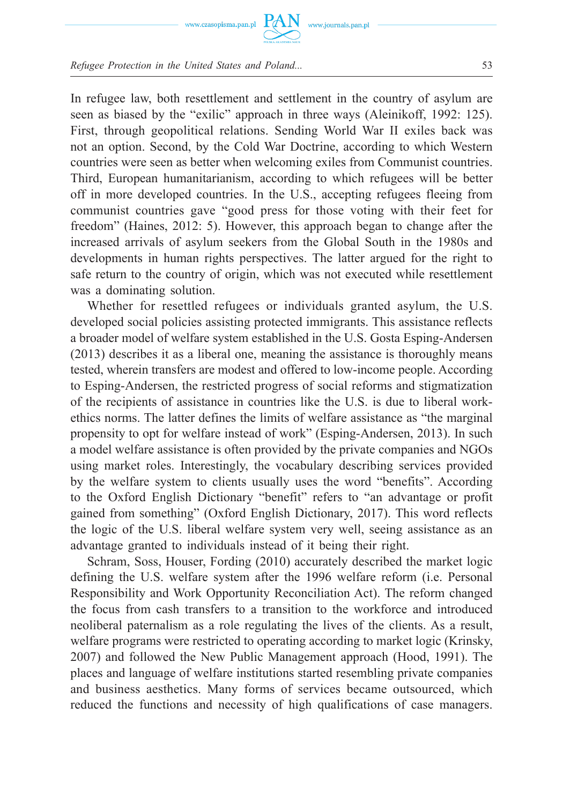

In refugee law, both resettlement and settlement in the country of asylum are seen as biased by the "exilic" approach in three ways (Aleinikoff, 1992: 125). First, through geopolitical relations. Sending World War II exiles back was not an option. Second, by the Cold War Doctrine, according to which Western countries were seen as better when welcoming exiles from Communist countries. Third, European humanitarianism, according to which refugees will be better off in more developed countries. In the U.S., accepting refugees fleeing from communist countries gave "good press for those voting with their feet for freedom" (Haines, 2012: 5). However, this approach began to change after the increased arrivals of asylum seekers from the Global South in the 1980s and developments in human rights perspectives. The latter argued for the right to safe return to the country of origin, which was not executed while resettlement was a dominating solution.

www.journals.pan.pl

Whether for resettled refugees or individuals granted asylum, the U.S. developed social policies assisting protected immigrants. This assistance reflects a broader model of welfare system established in the U.S. Gosta Esping-Andersen (2013) describes it as a liberal one, meaning the assistance is thoroughly means tested, wherein transfers are modest and offered to low-income people. According to Esping-Andersen, the restricted progress of social reforms and stigmatization of the recipients of assistance in countries like the U.S. is due to liberal workethics norms. The latter defines the limits of welfare assistance as "the marginal propensity to opt for welfare instead of work" (Esping-Andersen, 2013). In such a model welfare assistance is often provided by the private companies and NGOs using market roles. Interestingly, the vocabulary describing services provided by the welfare system to clients usually uses the word "benefits". According to the Oxford English Dictionary "benefit" refers to "an advantage or profit gained from something" (Oxford English Dictionary, 2017). This word reflects the logic of the U.S. liberal welfare system very well, seeing assistance as an advantage granted to individuals instead of it being their right.

Schram, Soss, Houser, Fording (2010) accurately described the market logic defining the U.S. welfare system after the 1996 welfare reform (i.e. Personal Responsibility and Work Opportunity Reconciliation Act). The reform changed the focus from cash transfers to a transition to the workforce and introduced neoliberal paternalism as a role regulating the lives of the clients. As a result, welfare programs were restricted to operating according to market logic (Krinsky, 2007) and followed the New Public Management approach (Hood, 1991). The places and language of welfare institutions started resembling private companies and business aesthetics. Many forms of services became outsourced, which reduced the functions and necessity of high qualifications of case managers.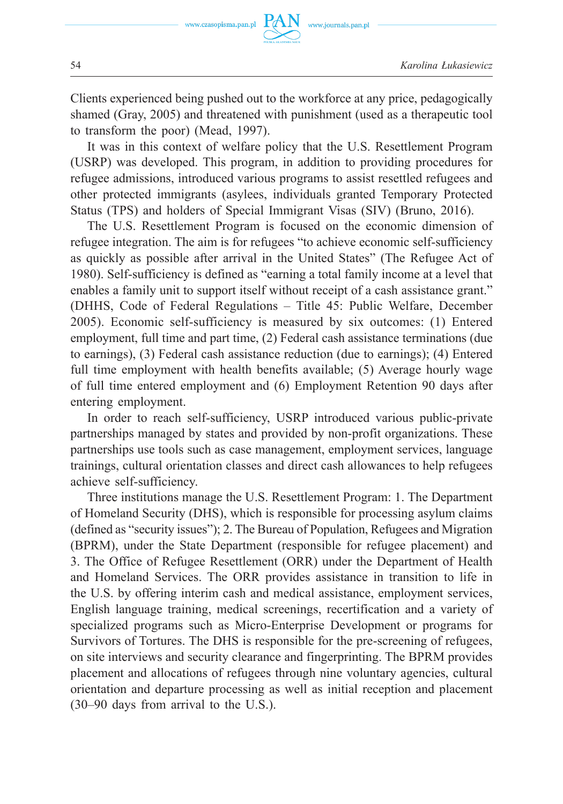Clients experienced being pushed out to the workforce at any price, pedagogically shamed (Gray, 2005) and threatened with punishment (used as a therapeutic tool to transform the poor) (Mead, 1997).

www.journals.pan.pl

It was in this context of welfare policy that the U.S. Resettlement Program (USRP) was developed. This program, in addition to providing procedures for refugee admissions, introduced various programs to assist resettled refugees and other protected immigrants (asylees, individuals granted Temporary Protected Status (TPS) and holders of Special Immigrant Visas (SIV) (Bruno, 2016).

The U.S. Resettlement Program is focused on the economic dimension of refugee integration. The aim is for refugees "to achieve economic self-sufficiency as quickly as possible after arrival in the United States" (The Refugee Act of 1980). Self-sufficiency is defined as "earning a total family income at a level that enables a family unit to support itself without receipt of a cash assistance grant." (DHHS, Code of Federal Regulations – Title 45: Public Welfare, December 2005). Economic self-sufficiency is measured by six outcomes: (1) Entered employment, full time and part time, (2) Federal cash assistance terminations (due to earnings), (3) Federal cash assistance reduction (due to earnings); (4) Entered full time employment with health benefits available; (5) Average hourly wage of full time entered employment and (6) Employment Retention 90 days after entering employment.

In order to reach self-sufficiency, USRP introduced various public-private partnerships managed by states and provided by non-profit organizations. These partnerships use tools such as case management, employment services, language trainings, cultural orientation classes and direct cash allowances to help refugees achieve self-sufficiency.

Three institutions manage the U.S. Resettlement Program: 1. The Department of Homeland Security (DHS), which is responsible for processing asylum claims (defined as "security issues"); 2. The Bureau of Population, Refugees and Migration (BPRM), under the State Department (responsible for refugee placement) and 3. The Office of Refugee Resettlement (ORR) under the Department of Health and Homeland Services. The ORR provides assistance in transition to life in the U.S. by offering interim cash and medical assistance, employment services, English language training, medical screenings, recertification and a variety of specialized programs such as Micro-Enterprise Development or programs for Survivors of Tortures. The DHS is responsible for the pre-screening of refugees, on site interviews and security clearance and fingerprinting. The BPRM provides placement and allocations of refugees through nine voluntary agencies, cultural orientation and departure processing as well as initial reception and placement (30–90 days from arrival to the U.S.).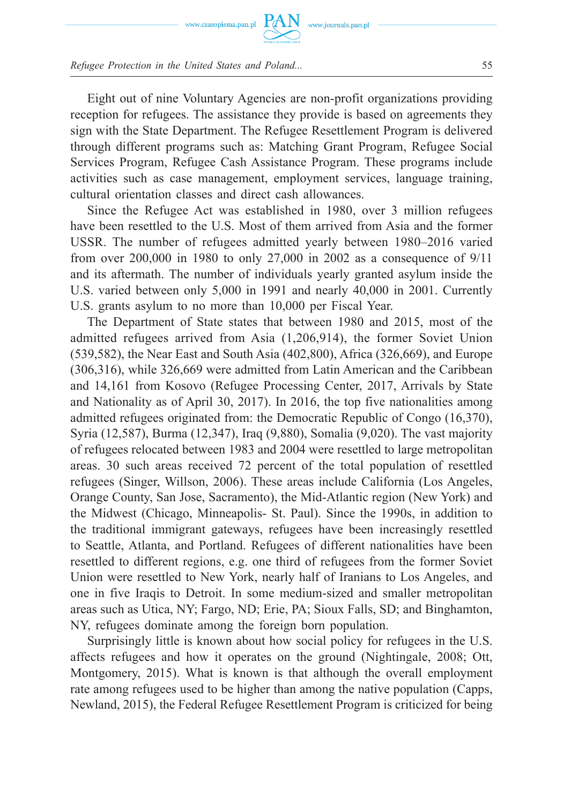

Eight out of nine Voluntary Agencies are non-profit organizations providing reception for refugees. The assistance they provide is based on agreements they sign with the State Department. The Refugee Resettlement Program is delivered through different programs such as: Matching Grant Program, Refugee Social Services Program, Refugee Cash Assistance Program. These programs include activities such as case management, employment services, language training, cultural orientation classes and direct cash allowances.

Since the Refugee Act was established in 1980, over 3 million refugees have been resettled to the U.S. Most of them arrived from Asia and the former USSR. The number of refugees admitted yearly between 1980–2016 varied from over 200,000 in 1980 to only 27,000 in 2002 as a consequence of 9/11 and its aftermath. The number of individuals yearly granted asylum inside the U.S. varied between only 5,000 in 1991 and nearly 40,000 in 2001. Currently U.S. grants asylum to no more than 10,000 per Fiscal Year.

The Department of State states that between 1980 and 2015, most of the admitted refugees arrived from Asia (1,206,914), the former Soviet Union (539,582), the Near East and South Asia (402,800), Africa (326,669), and Europe (306,316), while 326,669 were admitted from Latin American and the Caribbean and 14,161 from Kosovo (Refugee Processing Center, 2017, Arrivals by State and Nationality as of April 30, 2017). In 2016, the top five nationalities among admitted refugees originated from: the Democratic Republic of Congo (16,370), Syria (12,587), Burma (12,347), Iraq (9,880), Somalia (9,020). The vast majority of refugees relocated between 1983 and 2004 were resettled to large metropolitan areas. 30 such areas received 72 percent of the total population of resettled refugees (Singer, Willson, 2006). These areas include California (Los Angeles, Orange County, San Jose, Sacramento), the Mid-Atlantic region (New York) and the Midwest (Chicago, Minneapolis- St. Paul). Since the 1990s, in addition to the traditional immigrant gateways, refugees have been increasingly resettled to Seattle, Atlanta, and Portland. Refugees of different nationalities have been resettled to different regions, e.g. one third of refugees from the former Soviet Union were resettled to New York, nearly half of Iranians to Los Angeles, and one in five Iraqis to Detroit. In some medium-sized and smaller metropolitan areas such as Utica, NY; Fargo, ND; Erie, PA; Sioux Falls, SD; and Binghamton, NY, refugees dominate among the foreign born population.

Surprisingly little is known about how social policy for refugees in the U.S. affects refugees and how it operates on the ground (Nightingale, 2008; Ott, Montgomery, 2015). What is known is that although the overall employment rate among refugees used to be higher than among the native population (Capps, Newland, 2015), the Federal Refugee Resettlement Program is criticized for being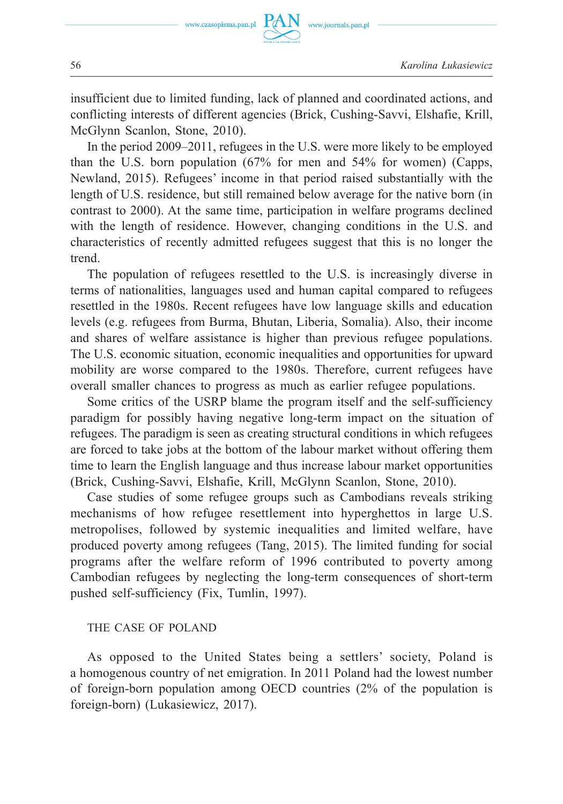

insufficient due to limited funding, lack of planned and coordinated actions, and conflicting interests of different agencies (Brick, Cushing-Savvi, Elshafie, Krill, McGlynn Scanlon, Stone, 2010).

www.journals.pan.pl

In the period 2009–2011, refugees in the U.S. were more likely to be employed than the U.S. born population (67% for men and 54% for women) (Capps, Newland, 2015). Refugees' income in that period raised substantially with the length of U.S. residence, but still remained below average for the native born (in contrast to 2000). At the same time, participation in welfare programs declined with the length of residence. However, changing conditions in the U.S. and characteristics of recently admitted refugees suggest that this is no longer the trend.

The population of refugees resettled to the U.S. is increasingly diverse in terms of nationalities, languages used and human capital compared to refugees resettled in the 1980s. Recent refugees have low language skills and education levels (e.g. refugees from Burma, Bhutan, Liberia, Somalia). Also, their income and shares of welfare assistance is higher than previous refugee populations. The U.S. economic situation, economic inequalities and opportunities for upward mobility are worse compared to the 1980s. Therefore, current refugees have overall smaller chances to progress as much as earlier refugee populations.

Some critics of the USRP blame the program itself and the self-sufficiency paradigm for possibly having negative long-term impact on the situation of refugees. The paradigm is seen as creating structural conditions in which refugees are forced to take jobs at the bottom of the labour market without offering them time to learn the English language and thus increase labour market opportunities (Brick, Cushing-Savvi, Elshafie, Krill, McGlynn Scanlon, Stone, 2010).

Case studies of some refugee groups such as Cambodians reveals striking mechanisms of how refugee resettlement into hyperghettos in large U.S. metropolises, followed by systemic inequalities and limited welfare, have produced poverty among refugees (Tang, 2015). The limited funding for social programs after the welfare reform of 1996 contributed to poverty among Cambodian refugees by neglecting the long-term consequences of short-term pushed self-sufficiency (Fix, Tumlin, 1997).

#### THE CASE OF POLAND

As opposed to the United States being a settlers' society, Poland is a homogenous country of net emigration. In 2011 Poland had the lowest number of foreign-born population among OECD countries (2% of the population is foreign-born) (Lukasiewicz, 2017).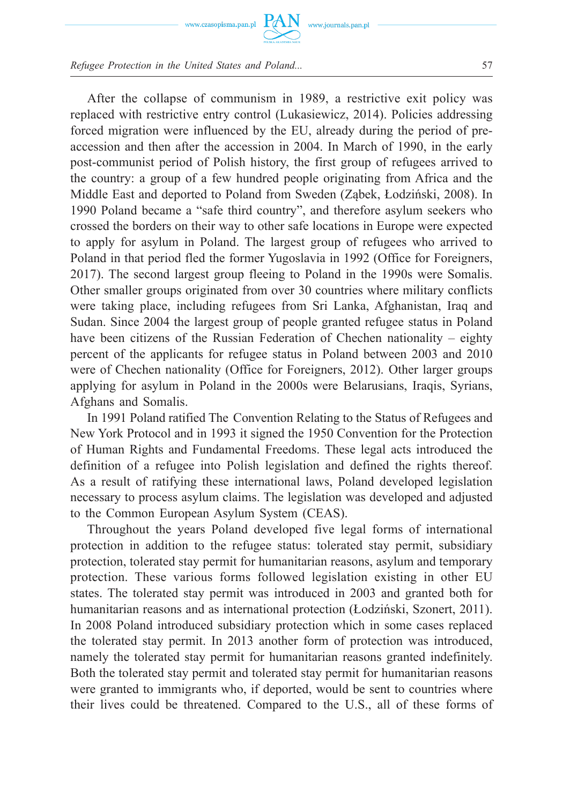

www.journals.pan.pl

*Refugee Protection in the United States and Poland...* 57

After the collapse of communism in 1989, a restrictive exit policy was replaced with restrictive entry control (Lukasiewicz, 2014). Policies addressing forced migration were influenced by the EU, already during the period of preaccession and then after the accession in 2004. In March of 1990, in the early post-communist period of Polish history, the first group of refugees arrived to the country: a group of a few hundred people originating from Africa and the Middle East and deported to Poland from Sweden (Ząbek, Łodziński, 2008). In 1990 Poland became a "safe third country", and therefore asylum seekers who crossed the borders on their way to other safe locations in Europe were expected to apply for asylum in Poland. The largest group of refugees who arrived to Poland in that period fled the former Yugoslavia in 1992 (Office for Foreigners, 2017). The second largest group fleeing to Poland in the 1990s were Somalis. Other smaller groups originated from over 30 countries where military conflicts were taking place, including refugees from Sri Lanka, Afghanistan, Iraq and Sudan. Since 2004 the largest group of people granted refugee status in Poland have been citizens of the Russian Federation of Chechen nationality – eighty percent of the applicants for refugee status in Poland between 2003 and 2010 were of Chechen nationality (Office for Foreigners, 2012). Other larger groups applying for asylum in Poland in the 2000s were Belarusians, Iraqis, Syrians, Afghans and Somalis.

In 1991 Poland ratified The Convention Relating to the Status of Refugees and New York Protocol and in 1993 it signed the 1950 Convention for the Protection of Human Rights and Fundamental Freedoms. These legal acts introduced the definition of a refugee into Polish legislation and defined the rights thereof. As a result of ratifying these international laws, Poland developed legislation necessary to process asylum claims. The legislation was developed and adjusted to the Common European Asylum System (CEAS).

Throughout the years Poland developed five legal forms of international protection in addition to the refugee status: tolerated stay permit, subsidiary protection, tolerated stay permit for humanitarian reasons, asylum and temporary protection. These various forms followed legislation existing in other EU states. The tolerated stay permit was introduced in 2003 and granted both for humanitarian reasons and as international protection (Łodziński, Szonert, 2011). In 2008 Poland introduced subsidiary protection which in some cases replaced the tolerated stay permit. In 2013 another form of protection was introduced, namely the tolerated stay permit for humanitarian reasons granted indefinitely. Both the tolerated stay permit and tolerated stay permit for humanitarian reasons were granted to immigrants who, if deported, would be sent to countries where their lives could be threatened. Compared to the U.S., all of these forms of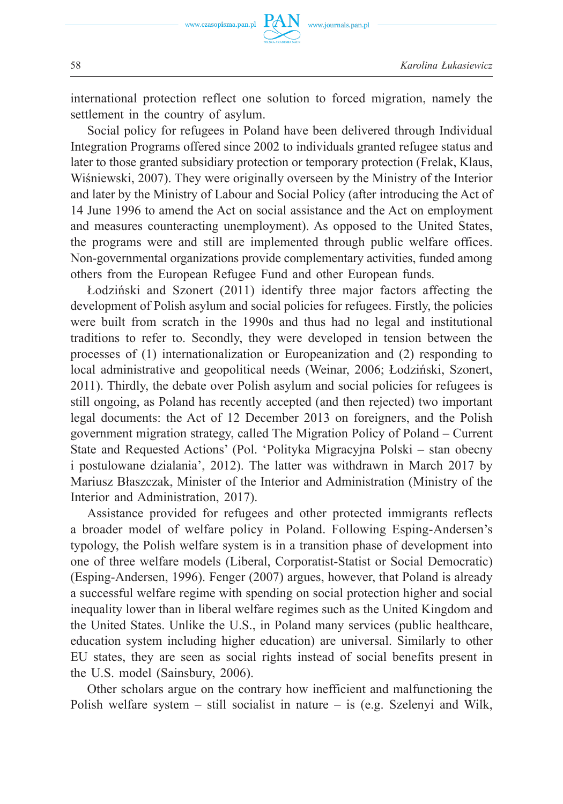international protection reflect one solution to forced migration, namely the settlement in the country of asylum.

www.journals.pan.pl

Social policy for refugees in Poland have been delivered through Individual Integration Programs offered since 2002 to individuals granted refugee status and later to those granted subsidiary protection or temporary protection (Frelak, Klaus, Wiśniewski, 2007). They were originally overseen by the Ministry of the Interior and later by the Ministry of Labour and Social Policy (after introducing the Act of 14 June 1996 to amend the Act on social assistance and the Act on employment and measures counteracting unemployment). As opposed to the United States, the programs were and still are implemented through public welfare offices. Non-governmental organizations provide complementary activities, funded among others from the European Refugee Fund and other European funds.

Łodziński and Szonert (2011) identify three major factors affecting the development of Polish asylum and social policies for refugees. Firstly, the policies were built from scratch in the 1990s and thus had no legal and institutional traditions to refer to. Secondly, they were developed in tension between the processes of (1) internationalization or Europeanization and (2) responding to local administrative and geopolitical needs (Weinar, 2006; Łodziński, Szonert, 2011). Thirdly, the debate over Polish asylum and social policies for refugees is still ongoing, as Poland has recently accepted (and then rejected) two important legal documents: the Act of 12 December 2013 on foreigners, and the Polish government migration strategy, called The Migration Policy of Poland – Current State and Requested Actions' (Pol. 'Polityka Migracyjna Polski – stan obecny i postulowane dzialania', 2012). The latter was withdrawn in March 2017 by Mariusz Błaszczak, Minister of the Interior and Administration (Ministry of the Interior and Administration, 2017).

Assistance provided for refugees and other protected immigrants reflects a broader model of welfare policy in Poland. Following Esping-Andersen's typology, the Polish welfare system is in a transition phase of development into one of three welfare models (Liberal, Corporatist-Statist or Social Democratic) (Esping-Andersen, 1996). Fenger (2007) argues, however, that Poland is already a successful welfare regime with spending on social protection higher and social inequality lower than in liberal welfare regimes such as the United Kingdom and the United States. Unlike the U.S., in Poland many services (public healthcare, education system including higher education) are universal. Similarly to other EU states, they are seen as social rights instead of social benefits present in the U.S. model (Sainsbury, 2006).

Other scholars argue on the contrary how inefficient and malfunctioning the Polish welfare system – still socialist in nature – is (e.g. Szelenyi and Wilk,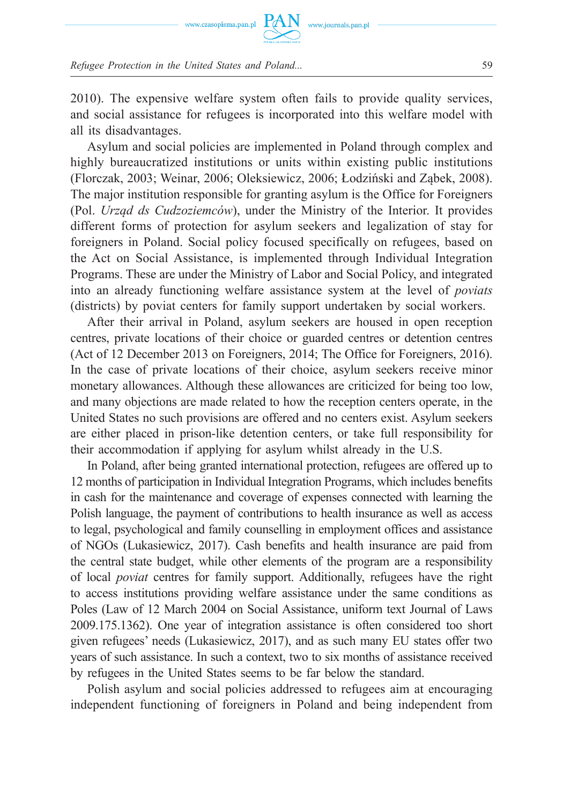

2010). The expensive welfare system often fails to provide quality services, and social assistance for refugees is incorporated into this welfare model with all its disadvantages.

Asylum and social policies are implemented in Poland through complex and highly bureaucratized institutions or units within existing public institutions (Florczak, 2003; Weinar, 2006; Oleksiewicz, 2006; Łodziński and Ząbek, 2008). The major institution responsible for granting asylum is the Office for Foreigners (Pol. *Urząd ds Cudzoziemców*), under the Ministry of the Interior. It provides different forms of protection for asylum seekers and legalization of stay for foreigners in Poland. Social policy focused specifically on refugees, based on the Act on Social Assistance, is implemented through Individual Integration Programs. These are under the Ministry of Labor and Social Policy, and integrated into an already functioning welfare assistance system at the level of *poviats*  (districts) by poviat centers for family support undertaken by social workers.

After their arrival in Poland, asylum seekers are housed in open reception centres, private locations of their choice or guarded centres or detention centres (Act of 12 December 2013 on Foreigners, 2014; The Office for Foreigners, 2016). In the case of private locations of their choice, asylum seekers receive minor monetary allowances. Although these allowances are criticized for being too low, and many objections are made related to how the reception centers operate, in the United States no such provisions are offered and no centers exist. Asylum seekers are either placed in prison-like detention centers, or take full responsibility for their accommodation if applying for asylum whilst already in the U.S.

In Poland, after being granted international protection, refugees are offered up to 12 months of participation in Individual Integration Programs, which includes benefits in cash for the maintenance and coverage of expenses connected with learning the Polish language, the payment of contributions to health insurance as well as access to legal, psychological and family counselling in employment offices and assistance of NGOs (Lukasiewicz, 2017). Cash benefits and health insurance are paid from the central state budget, while other elements of the program are a responsibility of local *poviat* centres for family support. Additionally, refugees have the right to access institutions providing welfare assistance under the same conditions as Poles (Law of 12 March 2004 on Social Assistance, uniform text Journal of Laws 2009.175.1362). One year of integration assistance is often considered too short given refugees' needs (Lukasiewicz, 2017), and as such many EU states offer two years of such assistance. In such a context, two to six months of assistance received by refugees in the United States seems to be far below the standard.

Polish asylum and social policies addressed to refugees aim at encouraging independent functioning of foreigners in Poland and being independent from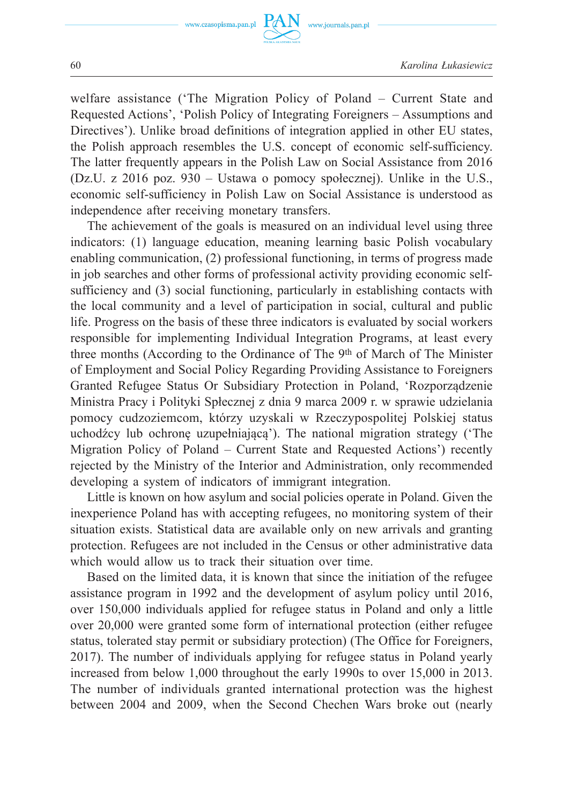

welfare assistance ('The Migration Policy of Poland – Current State and Requested Actions', 'Polish Policy of Integrating Foreigners – Assumptions and Directives'). Unlike broad definitions of integration applied in other EU states, the Polish approach resembles the U.S. concept of economic self-sufficiency. The latter frequently appears in the Polish Law on Social Assistance from 2016 (Dz.U. z 2016 poz. 930 – Ustawa o pomocy społecznej). Unlike in the U.S., economic self-sufficiency in Polish Law on Social Assistance is understood as independence after receiving monetary transfers.

The achievement of the goals is measured on an individual level using three indicators: (1) language education, meaning learning basic Polish vocabulary enabling communication, (2) professional functioning, in terms of progress made in job searches and other forms of professional activity providing economic selfsufficiency and (3) social functioning, particularly in establishing contacts with the local community and a level of participation in social, cultural and public life. Progress on the basis of these three indicators is evaluated by social workers responsible for implementing Individual Integration Programs, at least every three months (According to the Ordinance of The 9<sup>th</sup> of March of The Minister of Employment and Social Policy Regarding Providing Assistance to Foreigners Granted Refugee Status Or Subsidiary Protection in Poland, 'Rozporządzenie Ministra Pracy i Polityki Spłecznej z dnia 9 marca 2009 r. w sprawie udzielania pomocy cudzoziemcom, którzy uzyskali w Rzeczypospolitej Polskiej status uchodźcy lub ochronę uzupełniającą'). The national migration strategy ('The Migration Policy of Poland – Current State and Requested Actions') recently rejected by the Ministry of the Interior and Administration, only recommended developing a system of indicators of immigrant integration.

Little is known on how asylum and social policies operate in Poland. Given the inexperience Poland has with accepting refugees, no monitoring system of their situation exists. Statistical data are available only on new arrivals and granting protection. Refugees are not included in the Census or other administrative data which would allow us to track their situation over time.

Based on the limited data, it is known that since the initiation of the refugee assistance program in 1992 and the development of asylum policy until 2016, over 150,000 individuals applied for refugee status in Poland and only a little over 20,000 were granted some form of international protection (either refugee status, tolerated stay permit or subsidiary protection) (The Office for Foreigners, 2017). The number of individuals applying for refugee status in Poland yearly increased from below 1,000 throughout the early 1990s to over 15,000 in 2013. The number of individuals granted international protection was the highest between 2004 and 2009, when the Second Chechen Wars broke out (nearly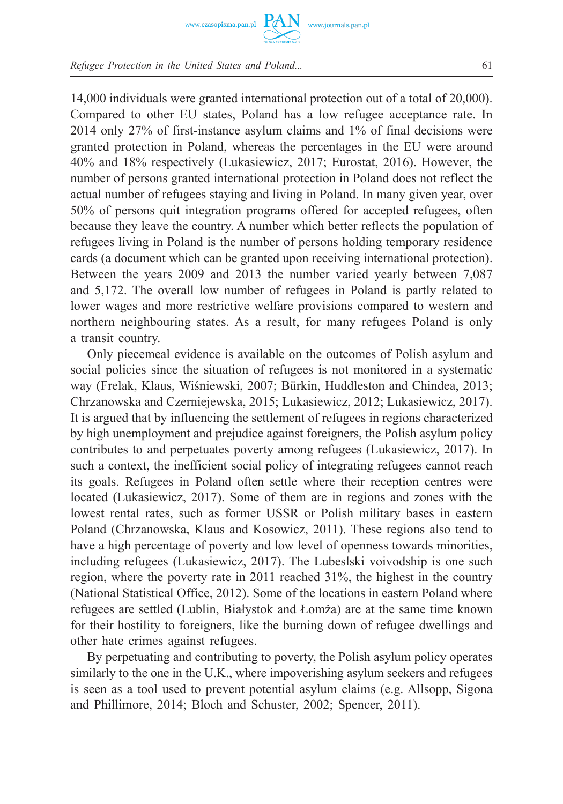



14,000 individuals were granted international protection out of a total of 20,000). Compared to other EU states, Poland has a low refugee acceptance rate. In 2014 only 27% of first-instance asylum claims and 1% of final decisions were granted protection in Poland, whereas the percentages in the EU were around 40% and 18% respectively (Lukasiewicz, 2017; Eurostat, 2016). However, the number of persons granted international protection in Poland does not reflect the actual number of refugees staying and living in Poland. In many given year, over 50% of persons quit integration programs offered for accepted refugees, often because they leave the country. A number which better reflects the population of refugees living in Poland is the number of persons holding temporary residence cards (a document which can be granted upon receiving international protection). Between the years 2009 and 2013 the number varied yearly between 7,087 and 5,172. The overall low number of refugees in Poland is partly related to lower wages and more restrictive welfare provisions compared to western and northern neighbouring states. As a result, for many refugees Poland is only a transit country.

www.journals.pan.pl

Only piecemeal evidence is available on the outcomes of Polish asylum and social policies since the situation of refugees is not monitored in a systematic way (Frelak, Klaus, Wiśniewski, 2007; Bürkin, Huddleston and Chindea, 2013; Chrzanowska and Czerniejewska, 2015; Lukasiewicz, 2012; Lukasiewicz, 2017). It is argued that by influencing the settlement of refugees in regions characterized by high unemployment and prejudice against foreigners, the Polish asylum policy contributes to and perpetuates poverty among refugees (Lukasiewicz, 2017). In such a context, the inefficient social policy of integrating refugees cannot reach its goals. Refugees in Poland often settle where their reception centres were located (Lukasiewicz, 2017). Some of them are in regions and zones with the lowest rental rates, such as former USSR or Polish military bases in eastern Poland (Chrzanowska, Klaus and Kosowicz, 2011). These regions also tend to have a high percentage of poverty and low level of openness towards minorities, including refugees (Lukasiewicz, 2017). The Lubeslski voivodship is one such region, where the poverty rate in 2011 reached 31%, the highest in the country (National Statistical Office, 2012). Some of the locations in eastern Poland where refugees are settled (Lublin, Białystok and Łomża) are at the same time known for their hostility to foreigners, like the burning down of refugee dwellings and other hate crimes against refugees.

By perpetuating and contributing to poverty, the Polish asylum policy operates similarly to the one in the U.K., where impoverishing asylum seekers and refugees is seen as a tool used to prevent potential asylum claims (e.g. Allsopp, Sigona and Phillimore, 2014; Bloch and Schuster, 2002; Spencer, 2011).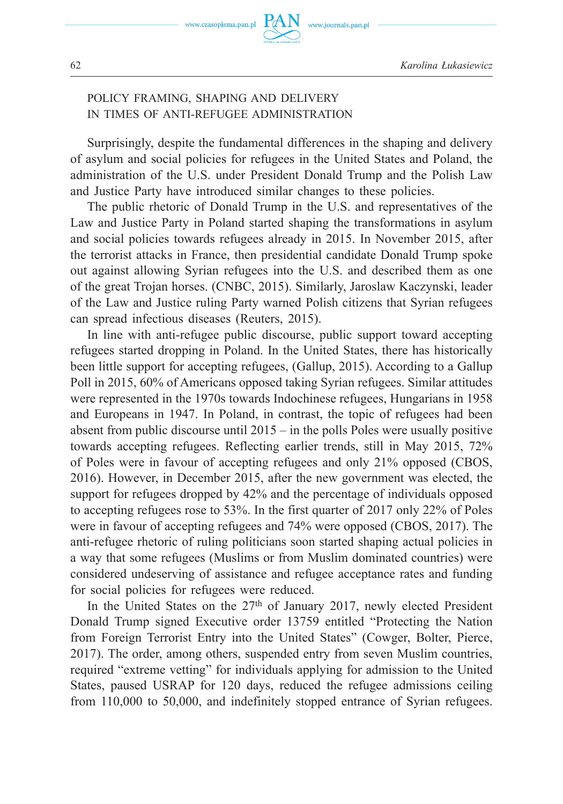62 *Karolina Łukasiewicz*

# POLICY FRAMING, SHAPING AND DELIVERY IN TIMES OF ANTI-REFUGEE ADMINISTRATION

Surprisingly, despite the fundamental differences in the shaping and delivery of asylum and social policies for refugees in the United States and Poland, the administration of the U.S. under President Donald Trump and the Polish Law and Justice Party have introduced similar changes to these policies.

www.journals.pan.pl

The public rhetoric of Donald Trump in the U.S. and representatives of the Law and Justice Party in Poland started shaping the transformations in asylum and social policies towards refugees already in 2015. In November 2015, after the terrorist attacks in France, then presidential candidate Donald Trump spoke out against allowing Syrian refugees into the U.S. and described them as one of the great Trojan horses. (CNBC, 2015). Similarly, Jaroslaw Kaczynski, leader of the Law and Justice ruling Party warned Polish citizens that Syrian refugees can spread infectious diseases (Reuters, 2015).

In line with anti-refugee public discourse, public support toward accepting refugees started dropping in Poland. In the United States, there has historically been little support for accepting refugees, (Gallup, 2015). According to a Gallup Poll in 2015, 60% of Americans opposed taking Syrian refugees. Similar attitudes were represented in the 1970s towards Indochinese refugees, Hungarians in 1958 and Europeans in 1947. In Poland, in contrast, the topic of refugees had been absent from public discourse until 2015 – in the polls Poles were usually positive towards accepting refugees. Reflecting earlier trends, still in May 2015, 72% of Poles were in favour of accepting refugees and only 21% opposed (CBOS, 2016). However, in December 2015, after the new government was elected, the support for refugees dropped by 42% and the percentage of individuals opposed to accepting refugees rose to 53%. In the first quarter of 2017 only 22% of Poles were in favour of accepting refugees and 74% were opposed (CBOS, 2017). The anti-refugee rhetoric of ruling politicians soon started shaping actual policies in a way that some refugees (Muslims or from Muslim dominated countries) were considered undeserving of assistance and refugee acceptance rates and funding for social policies for refugees were reduced.

In the United States on the 27<sup>th</sup> of January 2017, newly elected President Donald Trump signed Executive order 13759 entitled "Protecting the Nation from Foreign Terrorist Entry into the United States" (Cowger, Bolter, Pierce, 2017). The order, among others, suspended entry from seven Muslim countries, required "extreme vetting" for individuals applying for admission to the United States, paused USRAP for 120 days, reduced the refugee admissions ceiling from 110,000 to 50,000, and indefinitely stopped entrance of Syrian refugees.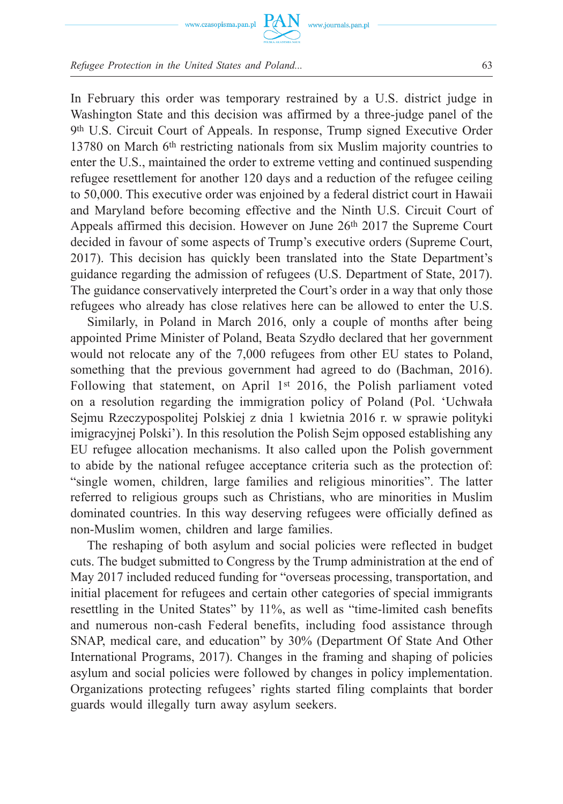

www.journals.pan.pl

*Refugee Protection in the United States and Poland...* 63

In February this order was temporary restrained by a U.S. district judge in Washington State and this decision was affirmed by a three-judge panel of the 9th U.S. Circuit Court of Appeals. In response, Trump signed Executive Order 13780 on March 6th restricting nationals from six Muslim majority countries to enter the U.S., maintained the order to extreme vetting and continued suspending refugee resettlement for another 120 days and a reduction of the refugee ceiling to 50,000. This executive order was enjoined by a federal district court in Hawaii and Maryland before becoming effective and the Ninth U.S. Circuit Court of Appeals affirmed this decision. However on June 26th 2017 the Supreme Court decided in favour of some aspects of Trump's executive orders (Supreme Court, 2017). This decision has quickly been translated into the State Department's guidance regarding the admission of refugees (U.S. Department of State, 2017). The guidance conservatively interpreted the Court's order in a way that only those refugees who already has close relatives here can be allowed to enter the U.S.

Similarly, in Poland in March 2016, only a couple of months after being appointed Prime Minister of Poland, Beata Szydło declared that her government would not relocate any of the 7,000 refugees from other EU states to Poland, something that the previous government had agreed to do (Bachman, 2016). Following that statement, on April 1st 2016, the Polish parliament voted on a resolution regarding the immigration policy of Poland (Pol. 'Uchwała Sejmu Rzeczypospolitej Polskiej z dnia 1 kwietnia 2016 r. w sprawie polityki imigracyjnej Polski'). In this resolution the Polish Sejm opposed establishing any EU refugee allocation mechanisms. It also called upon the Polish government to abide by the national refugee acceptance criteria such as the protection of: "single women, children, large families and religious minorities". The latter referred to religious groups such as Christians, who are minorities in Muslim dominated countries. In this way deserving refugees were officially defined as non-Muslim women, children and large families.

The reshaping of both asylum and social policies were reflected in budget cuts. The budget submitted to Congress by the Trump administration at the end of May 2017 included reduced funding for "overseas processing, transportation, and initial placement for refugees and certain other categories of special immigrants resettling in the United States" by 11%, as well as "time-limited cash benefits and numerous non-cash Federal benefits, including food assistance through SNAP, medical care, and education" by 30% (Department Of State And Other International Programs, 2017). Changes in the framing and shaping of policies asylum and social policies were followed by changes in policy implementation. Organizations protecting refugees' rights started filing complaints that border guards would illegally turn away asylum seekers.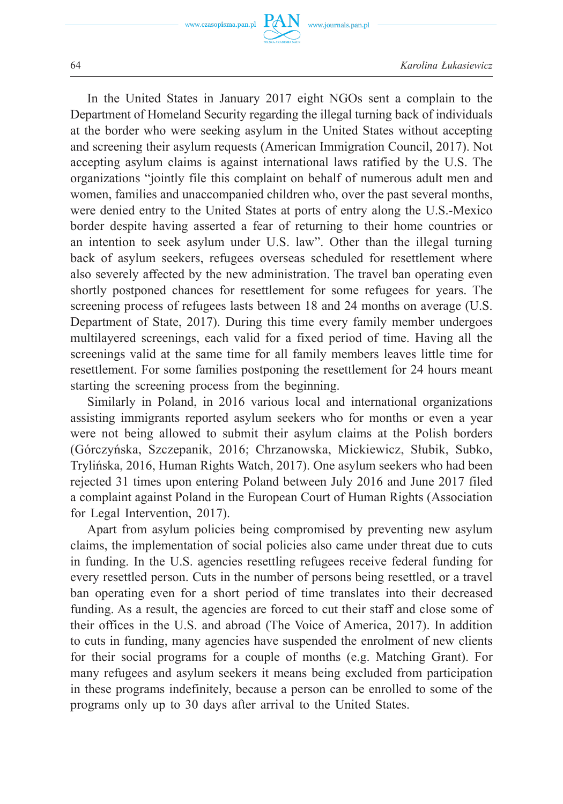www.czasopisma.pan.pl



64 *Karolina Łukasiewicz*

In the United States in January 2017 eight NGOs sent a complain to the Department of Homeland Security regarding the illegal turning back of individuals at the border who were seeking asylum in the United States without accepting and screening their asylum requests (American Immigration Council, 2017). Not accepting asylum claims is against international laws ratified by the U.S. The organizations "jointly file this complaint on behalf of numerous adult men and women, families and unaccompanied children who, over the past several months, were denied entry to the United States at ports of entry along the U.S.-Mexico border despite having asserted a fear of returning to their home countries or an intention to seek asylum under U.S. law". Other than the illegal turning back of asylum seekers, refugees overseas scheduled for resettlement where also severely affected by the new administration. The travel ban operating even shortly postponed chances for resettlement for some refugees for years. The screening process of refugees lasts between 18 and 24 months on average (U.S. Department of State, 2017). During this time every family member undergoes multilayered screenings, each valid for a fixed period of time. Having all the screenings valid at the same time for all family members leaves little time for resettlement. For some families postponing the resettlement for 24 hours meant starting the screening process from the beginning.

Similarly in Poland, in 2016 various local and international organizations assisting immigrants reported asylum seekers who for months or even a year were not being allowed to submit their asylum claims at the Polish borders (Górczyńska, Szczepanik, 2016; Chrzanowska, Mickiewicz, Słubik, Subko, Trylińska, 2016, Human Rights Watch, 2017). One asylum seekers who had been rejected 31 times upon entering Poland between July 2016 and June 2017 filed a complaint against Poland in the European Court of Human Rights (Association for Legal Intervention, 2017).

Apart from asylum policies being compromised by preventing new asylum claims, the implementation of social policies also came under threat due to cuts in funding. In the U.S. agencies resettling refugees receive federal funding for every resettled person. Cuts in the number of persons being resettled, or a travel ban operating even for a short period of time translates into their decreased funding. As a result, the agencies are forced to cut their staff and close some of their offices in the U.S. and abroad (The Voice of America, 2017). In addition to cuts in funding, many agencies have suspended the enrolment of new clients for their social programs for a couple of months (e.g. Matching Grant). For many refugees and asylum seekers it means being excluded from participation in these programs indefinitely, because a person can be enrolled to some of the programs only up to 30 days after arrival to the United States.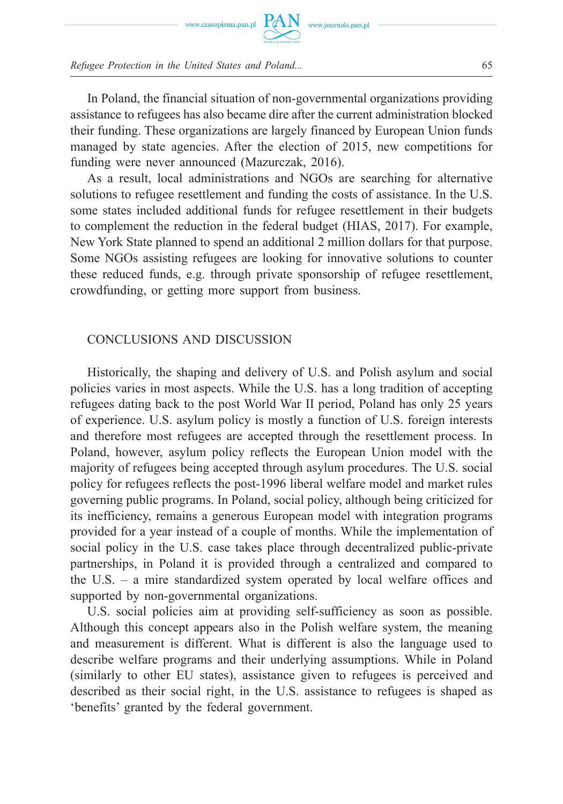

In Poland, the financial situation of non-governmental organizations providing assistance to refugees has also became dire after the current administration blocked their funding. These organizations are largely financed by European Union funds managed by state agencies. After the election of 2015, new competitions for funding were never announced (Mazurczak, 2016).

As a result, local administrations and NGOs are searching for alternative solutions to refugee resettlement and funding the costs of assistance. In the U.S. some states included additional funds for refugee resettlement in their budgets to complement the reduction in the federal budget (HIAS, 2017). For example, New York State planned to spend an additional 2 million dollars for that purpose. Some NGOs assisting refugees are looking for innovative solutions to counter these reduced funds, e.g. through private sponsorship of refugee resettlement, crowdfunding, or getting more support from business.

#### CONCLUSIONS AND DISCUSSION

Historically, the shaping and delivery of U.S. and Polish asylum and social policies varies in most aspects. While the U.S. has a long tradition of accepting refugees dating back to the post World War II period, Poland has only 25 years of experience. U.S. asylum policy is mostly a function of U.S. foreign interests and therefore most refugees are accepted through the resettlement process. In Poland, however, asylum policy reflects the European Union model with the majority of refugees being accepted through asylum procedures. The U.S. social policy for refugees reflects the post-1996 liberal welfare model and market rules governing public programs. In Poland, social policy, although being criticized for its inefficiency, remains a generous European model with integration programs provided for a year instead of a couple of months. While the implementation of social policy in the U.S. case takes place through decentralized public-private partnerships, in Poland it is provided through a centralized and compared to the U.S. – a mire standardized system operated by local welfare offices and supported by non-governmental organizations.

U.S. social policies aim at providing self-sufficiency as soon as possible. Although this concept appears also in the Polish welfare system, the meaning and measurement is different. What is different is also the language used to describe welfare programs and their underlying assumptions. While in Poland (similarly to other EU states), assistance given to refugees is perceived and described as their social right, in the U.S. assistance to refugees is shaped as 'benefits' granted by the federal government.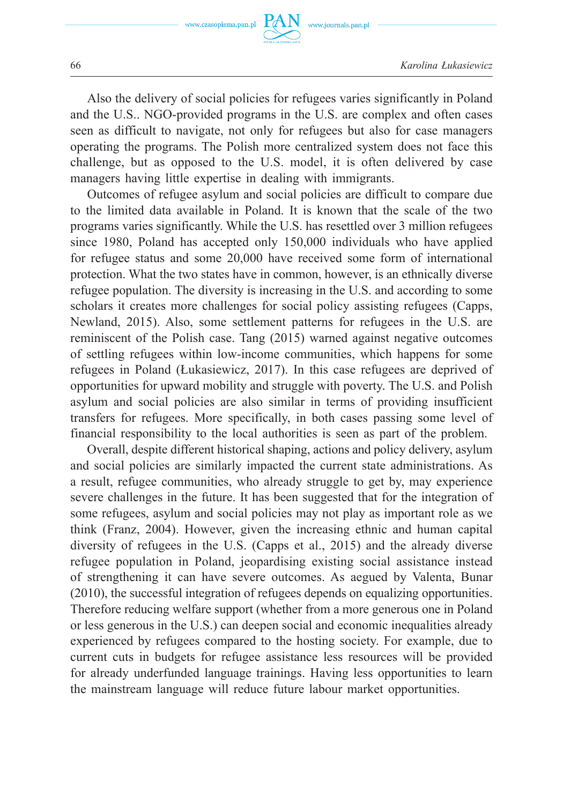

Also the delivery of social policies for refugees varies significantly in Poland and the U.S.. NGO-provided programs in the U.S. are complex and often cases seen as difficult to navigate, not only for refugees but also for case managers operating the programs. The Polish more centralized system does not face this challenge, but as opposed to the U.S. model, it is often delivered by case managers having little expertise in dealing with immigrants.

Outcomes of refugee asylum and social policies are difficult to compare due to the limited data available in Poland. It is known that the scale of the two programs varies significantly. While the U.S. has resettled over 3 million refugees since 1980, Poland has accepted only 150,000 individuals who have applied for refugee status and some 20,000 have received some form of international protection. What the two states have in common, however, is an ethnically diverse refugee population. The diversity is increasing in the U.S. and according to some scholars it creates more challenges for social policy assisting refugees (Capps, Newland, 2015). Also, some settlement patterns for refugees in the U.S. are reminiscent of the Polish case. Tang (2015) warned against negative outcomes of settling refugees within low-income communities, which happens for some refugees in Poland (Łukasiewicz, 2017). In this case refugees are deprived of opportunities for upward mobility and struggle with poverty. The U.S. and Polish asylum and social policies are also similar in terms of providing insufficient transfers for refugees. More specifically, in both cases passing some level of financial responsibility to the local authorities is seen as part of the problem.

Overall, despite different historical shaping, actions and policy delivery, asylum and social policies are similarly impacted the current state administrations. As a result, refugee communities, who already struggle to get by, may experience severe challenges in the future. It has been suggested that for the integration of some refugees, asylum and social policies may not play as important role as we think (Franz, 2004). However, given the increasing ethnic and human capital diversity of refugees in the U.S. (Capps et al., 2015) and the already diverse refugee population in Poland, jeopardising existing social assistance instead of strengthening it can have severe outcomes. As aegued by Valenta, Bunar (2010), the successful integration of refugees depends on equalizing opportunities. Therefore reducing welfare support (whether from a more generous one in Poland or less generous in the U.S.) can deepen social and economic inequalities already experienced by refugees compared to the hosting society. For example, due to current cuts in budgets for refugee assistance less resources will be provided for already underfunded language trainings. Having less opportunities to learn the mainstream language will reduce future labour market opportunities.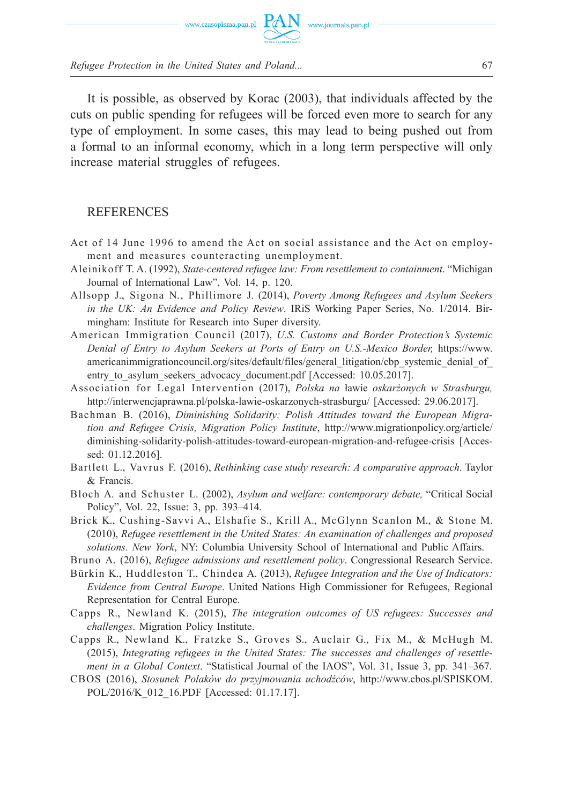

It is possible, as observed by Korac (2003), that individuals affected by the cuts on public spending for refugees will be forced even more to search for any type of employment. In some cases, this may lead to being pushed out from a formal to an informal economy, which in a long term perspective will only increase material struggles of refugees.

#### **REFERENCES**

- Act of 14 June 1996 to amend the Act on social assistance and the Act on employment and measures counteracting unemployment.
- Aleinikoff T. A. (1992), *State-centered refugee law: From resettlement to containment*. "Michigan Journal of International Law", Vol. 14, p. 120.
- Allsopp J., Sigona N., Phillimore J. (2014), *Poverty Among Refugees and Asylum Seekers in the UK: An Evidence and Policy Review*. IRiS Working Paper Series, No. 1/2014. Birmingham: Institute for Research into Super diversity.
- American Immigration Council (2017), *U.S. Customs and Border Protection's Systemic Denial of Entry to Asylum Seekers at Ports of Entry on U.S.-Mexico Border,* https://www. americanimmigrationcouncil.org/sites/default/files/general\_litigation/cbp\_systemic\_denial\_of entry to asylum seekers advocacy document.pdf [Accessed: 10.05.2017].
- Association for Legal Intervention (2017), *Polska na* ławie *oskarżonych w Strasburgu,*  http://interwencjaprawna.pl/polska-lawie-oskarzonych-strasburgu/ [Accessed: 29.06.2017].
- Bachman B. (2016), *Diminishing Solidarity: Polish Attitudes toward the European Migration and Refugee Crisis, Migration Policy Institute*, http://www.migrationpolicy.org/article/ diminishing-solidarity-polish-attitudes-toward-european-migration-and-refugee-crisis [Accessed: 01.12.2016].
- Bartlett L., Vavrus F. (2016), *Rethinking case study research: A comparative approach*. Taylor & Francis.
- Bloch A. and Schuster L. (2002), *Asylum and welfare: contemporary debate,* "Critical Social Policy", Vol. 22, Issue: 3, pp. 393–414.
- Brick K., Cushing-Savvi A., Elshafie S., Krill A., McGlynn Scanlon M., & Stone M. (2010), *Refugee resettlement in the United States: An examination of challenges and proposed solutions. New York*, NY: Columbia University School of International and Public Affairs.
- Bruno A. (2016), *Refugee admissions and resettlement policy*. Congressional Research Service.
- Bürkin K., Huddleston T., Chindea A. (2013), *Refugee Integration and the Use of Indicators: Evidence from Central Europe*. United Nations High Commissioner for Refugees, Regional Representation for Central Europe.
- Capps R., Newland K. (2015), *The integration outcomes of US refugees: Successes and challenges*. Migration Policy Institute.
- Capps R., Newland K., Fratzke S., Groves S., Auclair G., Fix M., & McHugh M. (2015), *Integrating refugees in the United States: The successes and challenges of resettlement in a Global Context*. "Statistical Journal of the IAOS", Vol. 31, Issue 3, pp. 341–367.
- CBOS (2016), *Stosunek Polaków do przyjmowania uchodźców*, http://www.cbos.pl/SPISKOM. POL/2016/K 012 16.PDF [Accessed: 01.17.17].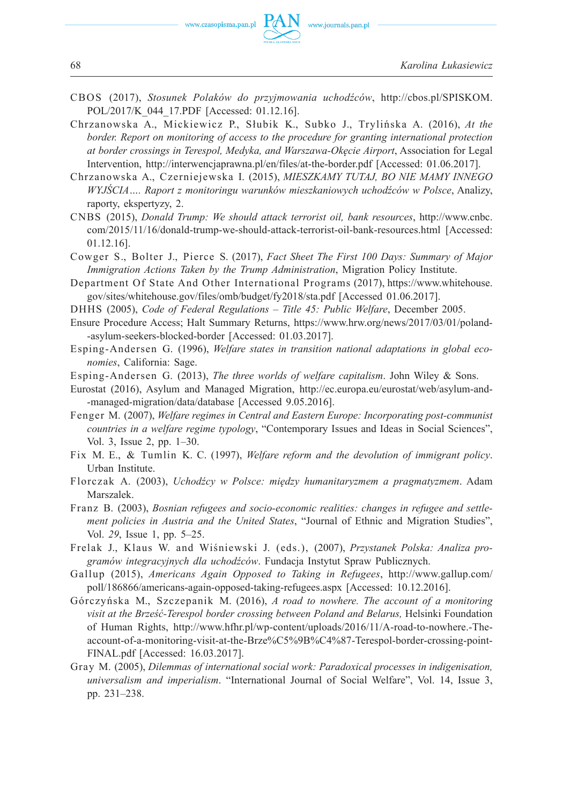- CBOS (2017), *Stosunek Polaków do przyjmowania uchodźców*, http://cbos.pl/SPISKOM. POL/2017/K\_044\_17.PDF [Accessed: 01.12.16].
- Chrzanowska A., Mickiewicz P., Słubik K., Subko J., Trylińska A. (2016), *At the border. Report on monitoring of access to the procedure for granting international protection at border crossings in Terespol, Medyka, and Warszawa-Okęcie Airport*, Association for Legal Intervention, http://interwencjaprawna.pl/en/files/at-the-border.pdf [Accessed: 01.06.2017].
- Chrzanowska A., Czerniejewska I. (2015), *MIESZKAMY TUTAJ, BO NIE MAMY INNEGO WYJŚCIA…. Raport z monitoringu warunków mieszkaniowych uchodźców w Polsce*, Analizy, raporty, ekspertyzy, 2.
- CNBS (2015), *Donald Trump: We should attack terrorist oil, bank resources*, http://www.cnbc. com/2015/11/16/donald-trump-we-should-attack-terrorist-oil-bank-resources.html [Accessed: 01.12.16].
- Cowger S., Bolter J., Pierce S. (2017), *Fact Sheet The First 100 Days: Summary of Major Immigration Actions Taken by the Trump Administration*, Migration Policy Institute.
- Department Of State And Other International Programs (2017), https://www.whitehouse. gov/sites/whitehouse.gov/files/omb/budget/fy2018/sta.pdf [Accessed 01.06.2017].
- DHHS (2005), *Code of Federal Regulations Title 45: Public Welfare*, December 2005.
- Ensure Procedure Access; Halt Summary Returns, https://www.hrw.org/news/2017/03/01/poland- -asylum-seekers-blocked-border [Accessed: 01.03.2017].
- Esping-Andersen G. (1996), *Welfare states in transition national adaptations in global economies*, California: Sage.
- Esping-Andersen G. (2013), *The three worlds of welfare capitalism*. John Wiley & Sons.
- Eurostat (2016), Asylum and Managed Migration, http://ec.europa.eu/eurostat/web/asylum-and- -managed-migration/data/database [Accessed 9.05.2016].
- Fenger M. (2007), *Welfare regimes in Central and Eastern Europe: Incorporating post-communist countries in a welfare regime typology*, "Contemporary Issues and Ideas in Social Sciences", Vol. 3, Issue 2, pp. 1–30.
- Fix M. E., & Tumlin K. C. (1997), *Welfare reform and the devolution of immigrant policy*. Urban Institute.
- Florczak A. (2003), *Uchodźcy w Polsce: między humanitaryzmem a pragmatyzmem*. Adam Marszalek.
- Franz B. (2003), *Bosnian refugees and socio-economic realities: changes in refugee and settlement policies in Austria and the United States*, "Journal of Ethnic and Migration Studies", Vol. *29*, Issue 1, pp. 5–25.
- Frelak J., Klaus W. and Wiśniewski J. (eds.), (2007), *Przystanek Polska: Analiza programów integracyjnych dla uchodźców*. Fundacja Instytut Spraw Publicznych.
- Gallup (2015), *Americans Again Opposed to Taking in Refugees*, http://www.gallup.com/ poll/186866/americans-again-opposed-taking-refugees.aspx [Accessed: 10.12.2016].
- Górczyńska M., Szczepanik M. (2016), *A road to nowhere. The account of a monitoring visit at the Brześć-Terespol border crossing between Poland and Belarus,* Helsinki Foundation of Human Rights, http://www.hfhr.pl/wp-content/uploads/2016/11/A-road-to-nowhere.-Theaccount-of-a-monitoring-visit-at-the-Brze%C5%9B%C4%87-Terespol-border-crossing-point-FINAL.pdf [Accessed: 16.03.2017].
- Gray M. (2005), *Dilemmas of international social work: Paradoxical processes in indigenisation, universalism and imperialism*. "International Journal of Social Welfare", Vol. 14, Issue 3, pp. 231–238.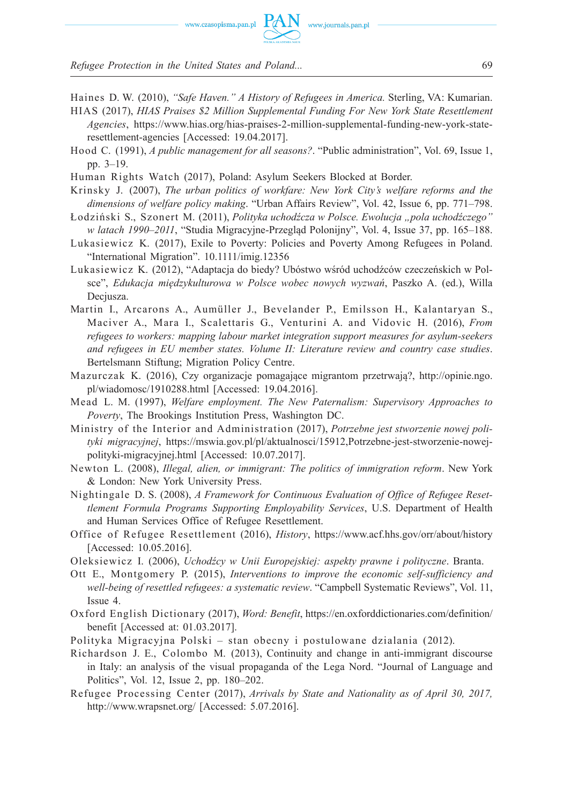

- Haines D. W. (2010), *"Safe Haven." A History of Refugees in America.* Sterling, VA: Kumarian.
- HIAS (2017), *HIAS Praises \$2 Million Supplemental Funding For New York State Resettlement Agencies*, https://www.hias.org/hias-praises-2-million-supplemental-funding-new-york-stateresettlement-agencies [Accessed: 19.04.2017].
- Hood C. (1991), *A public management for all seasons?*. "Public administration", Vol. 69, Issue 1, pp. 3–19.
- Human Rights Watch (2017), Poland: Asylum Seekers Blocked at Border.
- Krinsky J. (2007), *The urban politics of workfare: New York City's welfare reforms and the dimensions of welfare policy making*. "Urban Affairs Review", Vol. 42, Issue 6, pp. 771–798.
- Łodziński S., Szonert M. (2011), *Polityka uchodźcza w Polsce. Ewolucja "pola uchodźczego" w latach 1990–2011*, "Studia Migracyjne-Przegląd Polonijny", Vol. 4, Issue 37, pp. 165–188.
- Lukasiewicz K. (2017), Exile to Poverty: Policies and Poverty Among Refugees in Poland. "International Migration". 10.1111/imig.12356
- Lukasiewicz K. (2012), "Adaptacja do biedy? Ubóstwo wśród uchodźców czeczeńskich w Polsce", *Edukacja mię dzykulturowa w Polsce wobec nowych wyzwań*, Paszko A. (ed.), Willa Deciusza.
- Martin I., Arcarons A., Aumüller J., Bevelander P., Emilsson H., Kalantaryan S., Maciver A., Mara I., Scalettaris G., Venturini A. and Vidovic H. (2016), *From refugees to workers: mapping labour market integration support measures for asylum-seekers and refugees in EU member states. Volume II: Literature review and country case studies*. Bertelsmann Stiftung; Migration Policy Centre.
- Mazurczak K. (2016), Czy organizacje pomagające migrantom przetrwają?, http://opinie.ngo. pl/wiadomosc/1910288.html [Accessed: 19.04.2016].
- Mead L. M. (1997), *Welfare employment. The New Paternalism: Supervisory Approaches to Poverty*, The Brookings Institution Press, Washington DC.
- Ministry of the Interior and Administration (2017), *Potrzebne jest stworzenie nowej polityki migracyjnej*, https://mswia.gov.pl/pl/aktualnosci/15912,Potrzebne-jest-stworzenie-nowejpolityki-migracyjnej.html [Accessed: 10.07.2017].
- Newton L. (2008), *Illegal, alien, or immigrant: The politics of immigration reform*. New York & London: New York University Press.
- Nightingale D. S. (2008), *A Framework for Continuous Evaluation of Office of Refugee Resettlement Formula Programs Supporting Employability Services*, U.S. Department of Health and Human Services Office of Refugee Resettlement.
- Office of Refugee Resettlement (2016), *History*, https://www.acf.hhs.gov/orr/about/history [Accessed: 10.05.2016].
- Oleksiewicz I. (2006), *Uchodźcy w Unii Europejskiej: aspekty prawne i polityczne*. Branta.
- Ott E., Montgomery P. (2015), *Interventions to improve the economic self-sufficiency and well-being of resettled refugees: a systematic review*. "Campbell Systematic Reviews", Vol. 11, Issue 4.
- Oxford English Dictionary (2017), *Word: Benefit*, https://en.oxforddictionaries.com/definition/ benefit [Accessed at: 01.03.2017].
- Polityka Migracyjna Polski stan obecny i postulowane dzialania (2012).
- Richardson J. E., Colombo M. (2013), Continuity and change in anti-immigrant discourse in Italy: an analysis of the visual propaganda of the Lega Nord. "Journal of Language and Politics", Vol. 12, Issue 2, pp. 180–202.
- Refugee Processing Center (2017), *Arrivals by State and Nationality as of April 30, 2017,*  http://www.wrapsnet.org/ [Accessed: 5.07.2016].